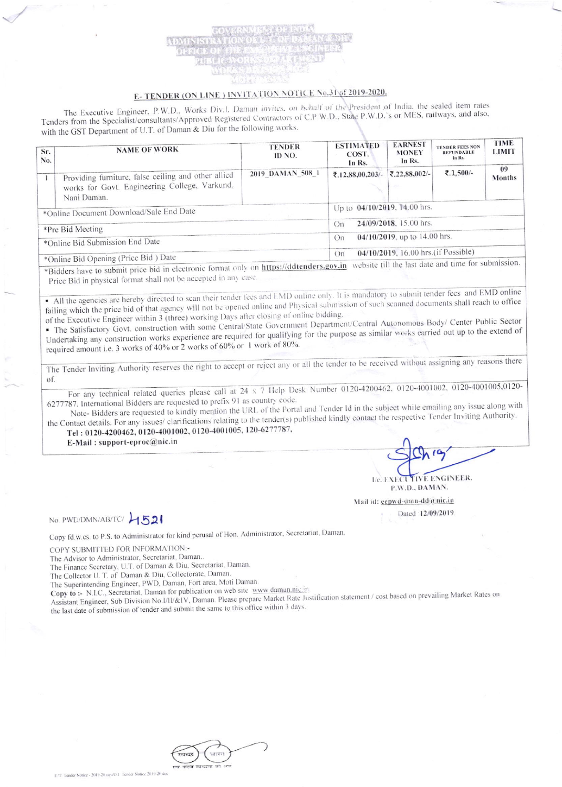## E-TENDER (ON LINE) INVITATION NOTICE No.31 of 2019-2020.

The Executive Engineer, P.W.D., Works Div.I. Daman invites, on behalf of the President of India, the sealed item rates Tenders from the Specialist/consultants/Approved Registered Contractors of C.P.W.D., State P.W.D.'s or MES, railways, and also, with the GST Department of U.T. of Daman & Diu for the following works.

| Sr.<br>No.                              | <b>NAME OF WORK</b>                                                                                                 | TENDER<br>ID NO. | <b>ESTIMATED</b><br>COST.<br>In Rs.        | <b>EARNEST</b><br><b>MONEY</b><br>In Rs. | <b>TENDER FEES NON</b><br><b>REFUNDABLE</b><br>In Rs. | <b>TIME</b><br><b>LIMIT</b> |  |  |
|-----------------------------------------|---------------------------------------------------------------------------------------------------------------------|------------------|--------------------------------------------|------------------------------------------|-------------------------------------------------------|-----------------------------|--|--|
|                                         | Providing furniture, false ceiling and other allied<br>works for Govt. Engineering College, Varkund,<br>Nani Daman. | 2019 DAMAN 508 1 | ₹.12,88,00,203/-                           | ₹,22,88,002/-                            | ₹.1.500/-                                             | 09<br>Months                |  |  |
| *Online Document Download/Sale End Date |                                                                                                                     |                  | Up to 04/10/2019, 14.00 hrs.               |                                          |                                                       |                             |  |  |
| *Pre Bid Meeting                        |                                                                                                                     |                  | 24/09/2018, 15.00 hrs.<br>On               |                                          |                                                       |                             |  |  |
| *Online Bid Submission End Date         |                                                                                                                     |                  | $04/10/2019$ , up to 14.00 hrs.<br>On      |                                          |                                                       |                             |  |  |
| *Online Bid Opening (Price Bid) Date    |                                                                                                                     |                  | 04/10/2019, 16.00 hrs. (if Possible)<br>On |                                          |                                                       |                             |  |  |

\*Bidders have to submit price bid in electronic format only on https://ddtenders.gov.in website till the last date and time for submission. Price Bid in physical format shall not be accepted in any case.

• All the agencies are hereby directed to scan their tender fees and EMD online only. It is mandatory to submit tender fees and EMD online failing which the price bid of that agency will not be opened online and Physical submission of such scanned documents shall reach to office of the Executive Engineer within 3 (three) working Days after closing of online bidding.

· The Satisfactory Govt. construction with some Central/State Government Department/Central Autonomous Body/ Center Public Sector Undertaking any construction works experience are required for qualifying for the purpose as similar works carried out up to the extend of required amount i.e. 3 works of 40% or 2 works of 60% or 1 work of 80%.

The Tender Inviting Authority reserves the right to accept or reject any or all the tender to be received without assigning any reasons there of.

For any technical related queries please call at 24 x 7 Help Desk Number 0120-4200462, 0120-4001002, 0120-4001005,0120-6277787. International Bidders are requested to prefix 91 as country code.

Note-Bidders are requested to kindly mention the URL of the Portal and Tender Id in the subject while emailing any issue along with the Contact details. For any issues/ clarifications relating to the tender(s) published kindly contact the respective Tender Inviting Authority.

Tel: 0120-4200462, 0120-4001002, 0120-4001005, 120-6277787, E-Mail: support-eproc@nic.in

TIVE ENGINEER.  $Le$   $FXFC$ P.W.D., DAMAN.

Mail id: eepwd-dmn-dd@nic.in

Dated :12/09/2019

No. PWD/DMN/AB/TC/ 4521

Copy fd.w.cs. to P.S. to Administrator for kind perusal of Hon. Administrator, Secretariat, Daman.

COPY SUBMITTED FOR INFORMATION:-

The Advisor to Administrator, Secretariat, Daman.

The Finance Secretary, U.T. of Daman & Diu, Secretariat, Daman.

The Collector U. T. of Daman & Diu, Collectorate, Daman.

The Superintending Engineer, PWD, Daman, Fort area, Moti Daman.

Copy to :- N.I.C., Secretariat, Daman for publication on web site www.daman.nic.in. Assistant Engineer, Sub Division No.1/11/&IV, Daman. Please prepare Market Rate Justification statement / cost based on prevailing Market Rates on the last date of submission of tender and submit the same to this office within 3 days.